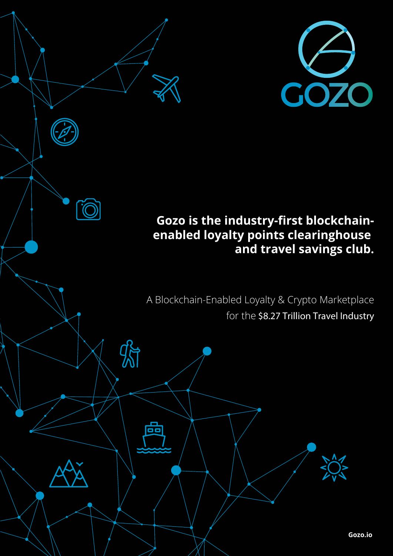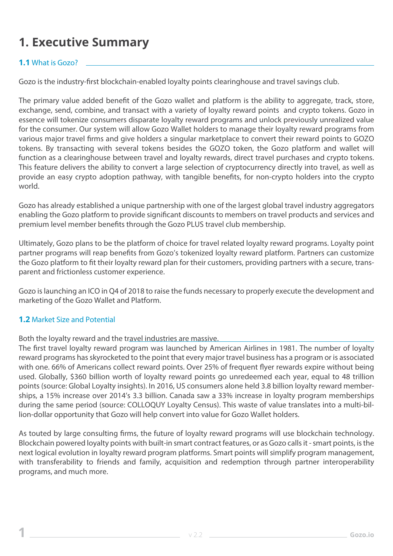## **1. Executive Summary**

#### **1.1** What is Gozo?

Gozo is the industry-first blockchain-enabled loyalty points clearinghouse and travel savings club.

The primary value added benefit of the Gozo wallet and platform is the ability to aggregate, track, store, exchange, send, combine, and transact with a variety of loyalty reward points and crypto tokens. Gozo in essence will tokenize consumers disparate loyalty reward programs and unlock previously unrealized value for the consumer. Our system will allow Gozo Wallet holders to manage their loyalty reward programs from various major travel firms and give holders a singular marketplace to convert their reward points to GOZO tokens. By transacting with several tokens besides the GOZO token, the Gozo platform and wallet will function as a clearinghouse between travel and loyalty rewards, direct travel purchases and crypto tokens. This feature delivers the ability to convert a large selection of cryptocurrency directly into travel, as well as provide an easy crypto adoption pathway, with tangible benefits, for non-crypto holders into the crypto world.

Gozo has already established a unique partnership with one of the largest global travel industry aggregators enabling the Gozo platform to provide significant discounts to members on travel products and services and premium level member benefits through the Gozo PLUS travel club membership.

Ultimately, Gozo plans to be the platform of choice for travel related loyalty reward programs. Loyalty point partner programs will reap benefits from Gozo's tokenized loyalty reward platform. Partners can customize the Gozo platform to fit their loyalty reward plan for their customers, providing partners with a secure, transparent and frictionless customer experience.

Gozo is launching an ICO in Q4 of 2018 to raise the funds necessary to properly execute the development and marketing of the Gozo Wallet and Platform.

#### **1.2** Market Size and Potential

Both the loyalty reward and the travel industries are massive.

The first travel loyalty reward program was launched by American Airlines in 1981. The number of loyalty reward programs has skyrocketed to the point that every major travel business has a program or is associated with one. 66% of Americans collect reward points. Over 25% of frequent flyer rewards expire without being used. Globally, \$360 billion worth of loyalty reward points go unredeemed each year, equal to 48 trillion points (source: Global Loyalty insights). In 2016, US consumers alone held 3.8 billion loyalty reward memberships, a 15% increase over 2014's 3.3 billion. Canada saw a 33% increase in loyalty program memberships during the same period (source: COLLOQUY Loyalty Census). This waste of value translates into a multi-billion-dollar opportunity that Gozo will help convert into value for Gozo Wallet holders.

As touted by large consulting firms, the future of loyalty reward programs will use blockchain technology. Blockchain powered loyalty points with built-in smart contract features, or as Gozo calls it - smart points, is the next logical evolution in loyalty reward program platforms. Smart points will simplify program management, with transferability to friends and family, acquisition and redemption through partner interoperability programs, and much more.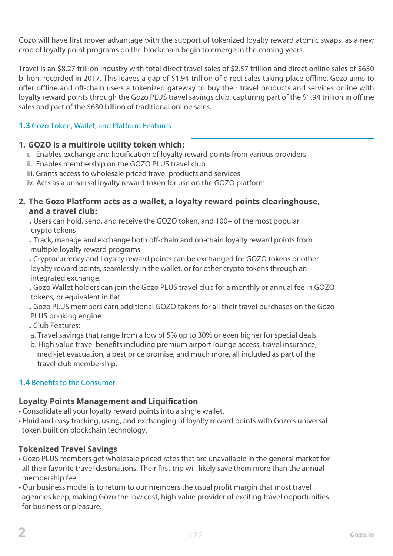Gozo will have first mover advantage with the support of tokenized loyalty reward atomic swaps, as a new crop of loyalty point programs on the blockchain begin to emerge in the coming years.

Travel is an \$8.27 trillion industry with total direct travel sales of \$2.57 trillion and direct online sales of \$630 billion, recorded in 2017. This leaves a gap of \$1.94 trillion of direct sales taking place offline. Gozo aims to offer offline and off-chain users a tokenized gateway to buy their travel products and services online with loyalty reward points through the Gozo PLUS travel savings club, capturing part of the \$1.94 trillion in offline sales and part of the \$630 billion of traditional online sales.

### **1.3** Gozo Token, Wallet, and Platform Features

### **1. GOZO is a multirole utility token which:**

- i. Enables exchange and liquification of loyalty reward points from various providers
- ii. Enables membership on the GOZO PLUS travel club
- iii. Grants access to wholesale priced travel products and services
- iv. Acts as a universal loyalty reward token for use on the GOZO platform

#### **2. The Gozo Platform acts as a wallet, a loyalty reward points clearinghouse, and a travel club:**

 **.** Users can hold, send, and receive the GOZO token, and 100+ of the most popular crypto tokens

- **.** Track, manage and exchange both off-chain and on-chain loyalty reward points from multiple loyalty reward programs
- **.** Cryptocurrency and Loyalty reward points can be exchanged for GOZO tokens or other loyalty reward points, seamlessly in the wallet, or for other crypto tokens through an integrated exchange.
- **.** Gozo Wallet holders can join the Gozo PLUS travel club for a monthly or annual fee in GOZO tokens, or equivalent in fiat.
- **.** Gozo PLUS members earn additional GOZO tokens for all their travel purchases on the Gozo PLUS booking engine.
- **.** Club Features:
- a. Travel savings that range from a low of 5% up to 30% or even higher for special deals.
- b. High value travel benefits including premium airport lounge access, travel insurance, medi-jet evacuation, a best price promise, and much more, all included as part of the travel club membership.

### **1.4** Benefits to the Consumer

## **Loyalty Points Management and Liquification**

- Consolidate all your loyalty reward points into a single wallet.
- Fluid and easy tracking, using, and exchanging of loyalty reward points with Gozo's universal token built on blockchain technology.

## **Tokenized Travel Savings**

- Gozo PLUS members get wholesale priced rates that are unavailable in the general market for all their favorite travel destinations. Their first trip will likely save them more than the annual membership fee.
- Our business model is to return to our members the usual profit margin that most travel agencies keep, making Gozo the low cost, high value provider of exciting travel opportunities for business or pleasure.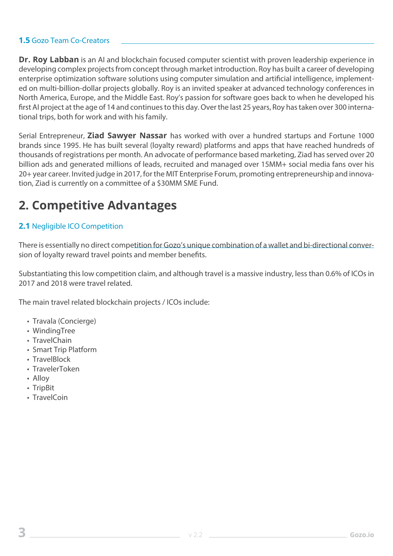#### **1.5** Gozo Team Co-Creators

**Dr. Roy Labban** is an AI and blockchain focused computer scientist with proven leadership experience in developing complex projects from concept through market introduction. Roy has built a career of developing enterprise optimization software solutions using computer simulation and artificial intelligence, implemented on multi-billion-dollar projects globally. Roy is an invited speaker at advanced technology conferences in North America, Europe, and the Middle East. Roy's passion for software goes back to when he developed his first AI project at the age of 14 and continues to this day. Over the last 25 years, Roy has taken over 300 international trips, both for work and with his family.

Serial Entrepreneur, **Ziad Sawyer Nassar** has worked with over a hundred startups and Fortune 1000 brands since 1995. He has built several (loyalty reward) platforms and apps that have reached hundreds of thousands of registrations per month. An advocate of performance based marketing, Ziad has served over 20 billion ads and generated millions of leads, recruited and managed over 15MM+ social media fans over his 20+ year career. Invited judge in 2017, for the MIT Enterprise Forum, promoting entrepreneurship and innovation, Ziad is currently on a committee of a \$30MM SME Fund.

## **2. Competitive Advantages**

## **2.1** Negligible ICO Competition

There is essentially no direct competition for Gozo's unique combination of a wallet and bi-directional conversion of loyalty reward travel points and member benefits.

Substantiating this low competition claim, and although travel is a massive industry, less than 0.6% of ICOs in 2017 and 2018 were travel related.

The main travel related blockchain projects / ICOs include:

- Travala (Concierge)
- WindingTree
- TravelChain
- Smart Trip Platform
- TravelBlock
- TravelerToken
- Alloy
- TripBit
- TravelCoin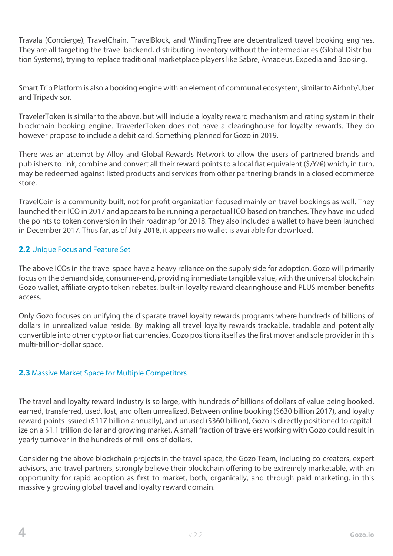Travala (Concierge), TravelChain, TravelBlock, and WindingTree are decentralized travel booking engines. They are all targeting the travel backend, distributing inventory without the intermediaries (Global Distribution Systems), trying to replace traditional marketplace players like Sabre, Amadeus, Expedia and Booking.

Smart Trip Platform is also a booking engine with an element of communal ecosystem, similar to Airbnb/Uber and Tripadvisor.

TravelerToken is similar to the above, but will include a loyalty reward mechanism and rating system in their blockchain booking engine. TraverlerToken does not have a clearinghouse for loyalty rewards. They do however propose to include a debit card. Something planned for Gozo in 2019.

There was an attempt by Alloy and Global Rewards Network to allow the users of partnered brands and publishers to link, combine and convert all their reward points to a local fiat equivalent (\$/¥/€) which, in turn, may be redeemed against listed products and services from other partnering brands in a closed ecommerce store.

TravelCoin is a community built, not for profit organization focused mainly on travel bookings as well. They launched their ICO in 2017 and appears to be running a perpetual ICO based on tranches. They have included the points to token conversion in their roadmap for 2018. They also included a wallet to have been launched in December 2017. Thus far, as of July 2018, it appears no wallet is available for download.

#### **2.2** Unique Focus and Feature Set

The above ICOs in the travel space have a heavy reliance on the supply side for adoption. Gozo will primarily focus on the demand side, consumer-end, providing immediate tangible value, with the universal blockchain Gozo wallet, affiliate crypto token rebates, built-in loyalty reward clearinghouse and PLUS member benefits access.

Only Gozo focuses on unifying the disparate travel loyalty rewards programs where hundreds of billions of dollars in unrealized value reside. By making all travel loyalty rewards trackable, tradable and potentially convertible into other crypto or fiat currencies, Gozo positions itself as the first mover and sole provider in this multi-trillion-dollar space.

#### **2.3** Massive Market Space for Multiple Competitors

The travel and loyalty reward industry is so large, with hundreds of billions of dollars of value being booked, earned, transferred, used, lost, and often unrealized. Between online booking (\$630 billion 2017), and loyalty reward points issued (\$117 billion annually), and unused (\$360 billion), Gozo is directly positioned to capitalize on a \$1.1 trillion dollar and growing market. A small fraction of travelers working with Gozo could result in yearly turnover in the hundreds of millions of dollars.

Considering the above blockchain projects in the travel space, the Gozo Team, including co-creators, expert advisors, and travel partners, strongly believe their blockchain offering to be extremely marketable, with an opportunity for rapid adoption as first to market, both, organically, and through paid marketing, in this massively growing global travel and loyalty reward domain.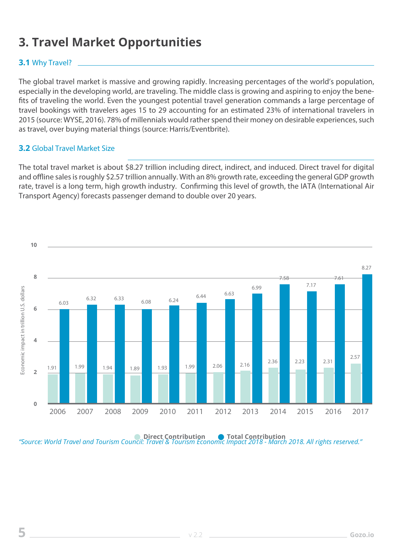# **3. Travel Market Opportunities**

### **3.1** Why Travel?

The global travel market is massive and growing rapidly. Increasing percentages of the world's population, especially in the developing world, are traveling. The middle class is growing and aspiring to enjoy the bene fits of traveling the world. Even the youngest potential travel generation commands a large percentage of travel bookings with travelers ages 15 to 29 accounting for an estimated 23% of international travelers in 2015 (source: WYSE, 2016). 78% of millennials would rather spend their money on desirable experiences, such as travel, over buying material things (source: Harris/Eventbrite).

#### **3.2** Global Travel Market Size

The total travel market is about \$8.27 trillion including direct, indirect, and induced. Direct travel for digital and offline sales is roughly \$2.57 trillion annually. With an 8% growth rate, exceeding the general GDP growth rate, travel is a long term, high growth industry. Confirming this level of growth, the IATA (International Air Transport Agency) forecasts passenger demand to double over 20 years.



*"Source: World Travel and Tourism Council: Travel & Tourism Economic Impact 2018 - March 2018. All rights reserved."* **Direct Contribution Total Contribution**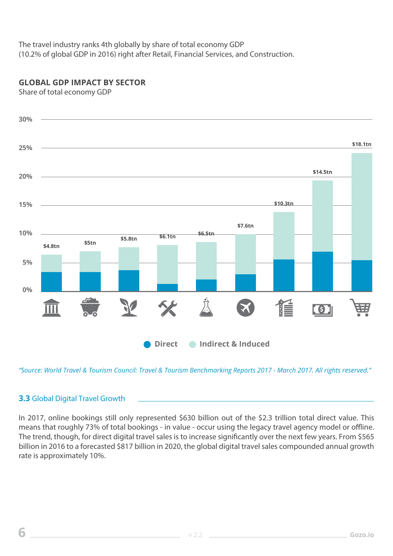#### The travel industry ranks 4th globally by share of total economy GDP (10.2% of global GDP in 2016) right after Retail, Financial Services, and Construction.

## **\$18.1tn 25% \$14.5tn 20% \$10.3tn 15% \$7.6tn 10% \$6.5tn \$6.1tn \$5.8tn \$5tn \$4.8tn 5% 0%**  $\gamma$  $\lceil \Theta \rceil$ **Direct Conditional Direct & Induced**

**GLOBAL GDP IMPACT BY SECTOR**

Share of total economy GDP

**30%**

*"Source: World Travel & Tourism Council: Travel & Tourism Benchmarking Reports 2017 - March 2017. All rights reserved."*

### **3.3** Global Digital Travel Growth

In 2017, online bookings still only represented \$630 billion out of the \$2.3 trillion total direct value. This means that roughly 73% of total bookings - in value - occur using the legacy travel agency model or offline. The trend, though, for direct digital travel sales is to increase significantly over the next few years. From \$565 billion in 2016 to a forecasted \$817 billion in 2020, the global digital travel sales compounded annual growth rate is approximately 10%.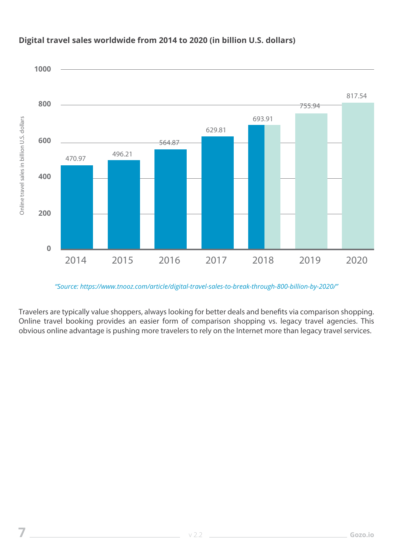

## **Digital travel sales worldwide from 2014 to 2020 (in billion U.S. dollars)**

*"Source: https://www.tnooz.com/article/digital-travel-sales-to-break-through-800-billion-by-2020/"*

Travelers are typically value shoppers, always looking for better deals and benefits via comparison shopping. Online travel booking provides an easier form of comparison shopping vs. legacy travel agencies. This obvious online advantage is pushing more travelers to rely on the Internet more than legacy travel services.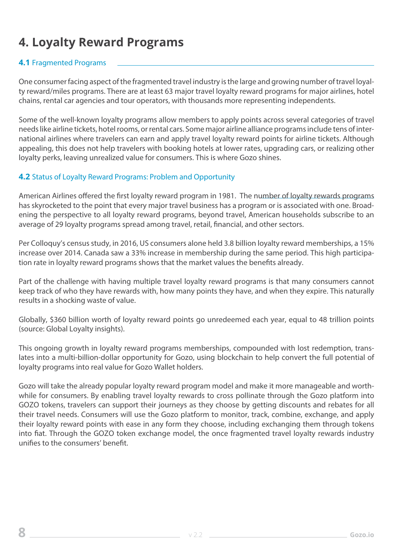## **4. Loyalty Reward Programs**

### **4.1** Fragmented Programs

One consumer facing aspect of the fragmented travel industry is the large and growing number of travel loyalty reward/miles programs. There are at least 63 major travel loyalty reward programs for major airlines, hotel chains, rental car agencies and tour operators, with thousands more representing independents.

Some of the well-known loyalty programs allow members to apply points across several categories of travel needs like airline tickets, hotel rooms, or rental cars. Some major airline alliance programs include tens of international airlines where travelers can earn and apply travel loyalty reward points for airline tickets. Although appealing, this does not help travelers with booking hotels at lower rates, upgrading cars, or realizing other loyalty perks, leaving unrealized value for consumers. This is where Gozo shines.

#### **4.2** Status of Loyalty Reward Programs: Problem and Opportunity

American Airlines offered the first loyalty reward program in 1981. The number of loyalty rewards programs has skyrocketed to the point that every major travel business has a program or is associated with one. Broadening the perspective to all loyalty reward programs, beyond travel, American households subscribe to an average of 29 loyalty programs spread among travel, retail, financial, and other sectors.

Per Colloquy's census study, in 2016, US consumers alone held 3.8 billion loyalty reward memberships, a 15% increase over 2014. Canada saw a 33% increase in membership during the same period. This high participation rate in loyalty reward programs shows that the market values the benefits already.

Part of the challenge with having multiple travel loyalty reward programs is that many consumers cannot keep track of who they have rewards with, how many points they have, and when they expire. This naturally results in a shocking waste of value.

Globally, \$360 billion worth of loyalty reward points go unredeemed each year, equal to 48 trillion points (source: Global Loyalty insights).

This ongoing growth in loyalty reward programs memberships, compounded with lost redemption, translates into a multi-billion-dollar opportunity for Gozo, using blockchain to help convert the full potential of loyalty programs into real value for Gozo Wallet holders.

Gozo will take the already popular loyalty reward program model and make it more manageable and worthwhile for consumers. By enabling travel loyalty rewards to cross pollinate through the Gozo platform into GOZO tokens, travelers can support their journeys as they choose by getting discounts and rebates for all their travel needs. Consumers will use the Gozo platform to monitor, track, combine, exchange, and apply their loyalty reward points with ease in any form they choose, including exchanging them through tokens into fiat. Through the GOZO token exchange model, the once fragmented travel loyalty rewards industry unifies to the consumers' benefit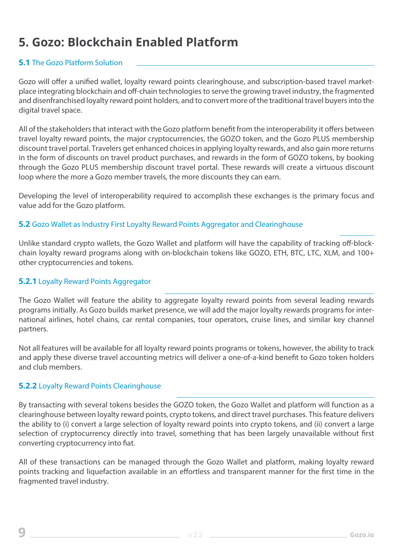## **5. Gozo: Blockchain Enabled Platform**

### **5.1** The Gozo Platform Solution

Gozo will offer a unified wallet, loyalty reward points clearinghouse, and subscription-based travel marketplace integrating blockchain and off-chain technologies to serve the growing travel industry, the fragmented and disenfranchised loyalty reward point holders, and to convert more of the traditional travel buyers into the digital travel space.

All of the stakeholders that interact with the Gozo platform benefit from the interoperability it offers between travel loyalty reward points, the major cryptocurrencies, the GOZO token, and the Gozo PLUS membership discount travel portal. Travelers get enhanced choices in applying loyalty rewards, and also gain more returns in the form of discounts on travel product purchases, and rewards in the form of GOZO tokens, by booking through the Gozo PLUS membership discount travel portal. These rewards will create a virtuous discount loop where the more a Gozo member travels, the more discounts they can earn.

Developing the level of interoperability required to accomplish these exchanges is the primary focus and value add for the Gozo platform.

#### **5.2** Gozo Wallet as Industry First Loyalty Reward Points Aggregator and Clearinghouse

Unlike standard crypto wallets, the Gozo Wallet and platform will have the capability of tracking off-blockchain loyalty reward programs along with on-blockchain tokens like GOZO, ETH, BTC, LTC, XLM, and 100+ other cryptocurrencies and tokens.

#### **5.2.1** Loyalty Reward Points Aggregator

The Gozo Wallet will feature the ability to aggregate loyalty reward points from several leading rewards programs initially. As Gozo builds market presence, we will add the major loyalty rewards programs for international airlines, hotel chains, car rental companies, tour operators, cruise lines, and similar key channel partners.

Not all features will be available for all loyalty reward points programs or tokens, however, the ability to track and apply these diverse travel accounting metrics will deliver a one-of-a-kind benefit to Gozo token holders and club members.

#### **5.2.2** Loyalty Reward Points Clearinghouse

By transacting with several tokens besides the GOZO token, the Gozo Wallet and platform will function as a clearinghouse between loyalty reward points, crypto tokens, and direct travel purchases. This feature delivers the ability to (i) convert a large selection of loyalty reward points into crypto tokens, and (ii) convert a large selection of cryptocurrency directly into travel, something that has been largely unavailable without first converting cryptocurrency into fiat.

All of these transactions can be managed through the Gozo Wallet and platform, making loyalty reward points tracking and liquefaction available in an effortless and transparent manner for the first time in the fragmented travel industry.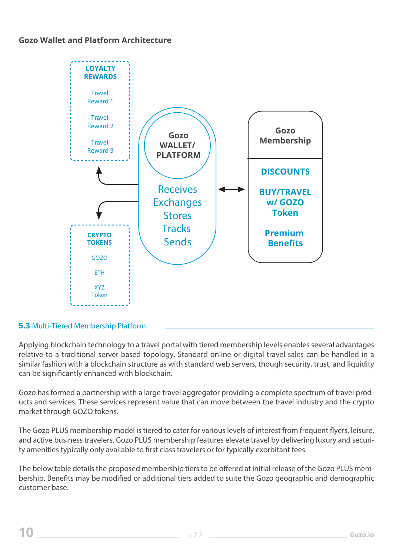#### **Gozo Wallet and Platform Architecture**



#### **5.3** Multi-Tiered Membership Platform

Applying blockchain technology to a travel portal with tiered membership levels enables several advantages relative to a traditional server based topology. Standard online or digital travel sales can be handled in a similar fashion with a blockchain structure as with standard web servers, though security, trust, and liquidity can be significantly enhanced with blockchain.

Gozo has formed a partnership with a large travel aggregator providing a complete spectrum of travel products and services. These services represent value that can move between the travel industry and the crypto market through GOZO tokens.

The Gozo PLUS membership model is tiered to cater for various levels of interest from frequent flyers, leisure, and active business travelers. Gozo PLUS membership features elevate travel by delivering luxury and security amenities typically only available to first class travelers or for typically exorbitant fees.

The below table details the proposed membership tiers to be offered at initial release of the Gozo PLUS membership. Benefits may be modified or additional tiers added to suite the Gozo geographic and demographic customer base.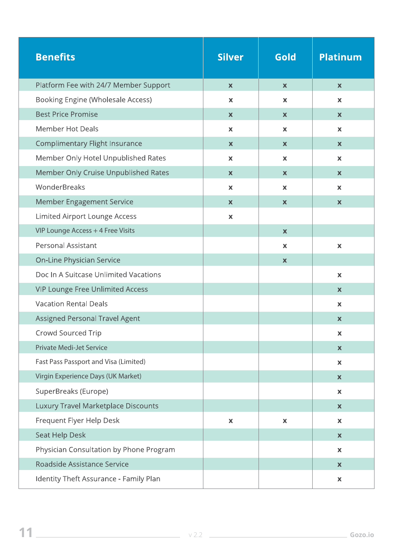| <b>Benefits</b>                         | <b>Silver</b>             | Gold                      | <b>Platinum</b>           |
|-----------------------------------------|---------------------------|---------------------------|---------------------------|
| Platform Fee with 24/7 Member Support   | $\boldsymbol{\mathsf{X}}$ | $\boldsymbol{\mathsf{X}}$ | $\boldsymbol{\mathsf{X}}$ |
| Booking Engine (Wholesale Access)       | $\mathbf x$               | $\mathbf{x}$              | $\mathbf{x}$              |
| <b>Best Price Promise</b>               | $\boldsymbol{\mathsf{X}}$ | $\boldsymbol{\mathsf{X}}$ | $\boldsymbol{\mathsf{X}}$ |
| <b>Member Hot Deals</b>                 | X                         | $\mathbf x$               | $\boldsymbol{\mathsf{X}}$ |
| Complimentary Flight Insurance          | $\boldsymbol{\mathsf{X}}$ | $\boldsymbol{\mathsf{X}}$ | $\boldsymbol{\mathsf{X}}$ |
| Member Only Hotel Unpublished Rates     | $\mathbf{x}$              | $\mathbf x$               | $\mathbf X$               |
| Member Only Cruise Unpublished Rates    | $\boldsymbol{\mathsf{X}}$ | $\boldsymbol{\mathsf{X}}$ | $\mathbf x$               |
| WonderBreaks                            | $\mathbf x$               | $\mathbf X$               | $\mathbf{x}$              |
| Member Engagement Service               | $\mathbf X$               | $\boldsymbol{\mathsf{X}}$ | $\boldsymbol{\mathsf{X}}$ |
| Limited Airport Lounge Access           | X                         |                           |                           |
| VIP Lounge Access + 4 Free Visits       |                           | $\mathbf X$               |                           |
| Personal Assistant                      |                           | $\boldsymbol{\mathsf{X}}$ | $\boldsymbol{\mathsf{X}}$ |
| On-Line Physician Service               |                           | $\mathbf x$               |                           |
| Doc In A Suitcase Unlimited Vacations   |                           |                           | $\boldsymbol{\mathsf{X}}$ |
| <b>VIP Lounge Free Unlimited Access</b> |                           |                           | $\mathbf x$               |
| <b>Vacation Rental Deals</b>            |                           |                           | $\pmb{\mathsf{X}}$        |
| Assigned Personal Travel Agent          |                           |                           | $\mathbf x$               |
| Crowd Sourced Trip                      |                           |                           | X                         |
| Private Medi-Jet Service                |                           |                           | $\boldsymbol{\mathsf{X}}$ |
| Fast Pass Passport and Visa (Limited)   |                           |                           | X                         |
| Virgin Experience Days (UK Market)      |                           |                           | $\boldsymbol{\mathsf{X}}$ |
| SuperBreaks (Europe)                    |                           |                           | $\boldsymbol{\mathsf{X}}$ |
| Luxury Travel Marketplace Discounts     |                           |                           | $\mathbf x$               |
| Frequent Flyer Help Desk                | $\mathbf x$               | $\boldsymbol{\mathsf{X}}$ | $\mathbf x$               |
| Seat Help Desk                          |                           |                           | $\mathbf x$               |
| Physician Consultation by Phone Program |                           |                           | $\mathbf x$               |
| Roadside Assistance Service             |                           |                           | $\mathbf x$               |
| Identity Theft Assurance - Family Plan  |                           |                           | $\pmb{\mathsf{X}}$        |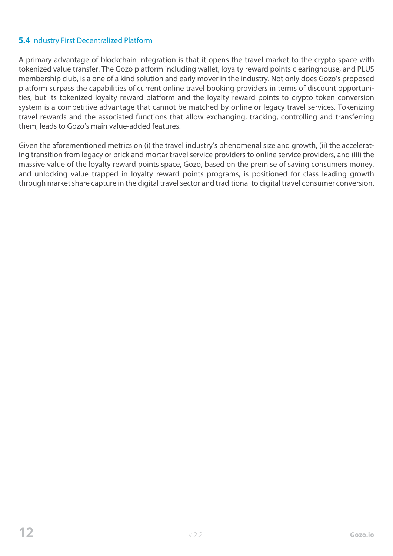#### **5.4** Industry First Decentralized Platform

A primary advantage of blockchain integration is that it opens the travel market to the crypto space with tokenized value transfer. The Gozo platform including wallet, loyalty reward points clearinghouse, and PLUS membership club, is a one of a kind solution and early mover in the industry. Not only does Gozo's proposed platform surpass the capabilities of current online travel booking providers in terms of discount opportunities, but its tokenized loyalty reward platform and the loyalty reward points to crypto token conversion system is a competitive advantage that cannot be matched by online or legacy travel services. Tokenizing travel rewards and the associated functions that allow exchanging, tracking, controlling and transferring them, leads to Gozo's main value-added features.

Given the aforementioned metrics on (i) the travel industry's phenomenal size and growth, (ii) the accelerating transition from legacy or brick and mortar travel service providers to online service providers, and (iii) the massive value of the loyalty reward points space, Gozo, based on the premise of saving consumers money, and unlocking value trapped in loyalty reward points programs, is positioned for class leading growth through market share capture in the digital travel sector and traditional to digital travel consumer conversion.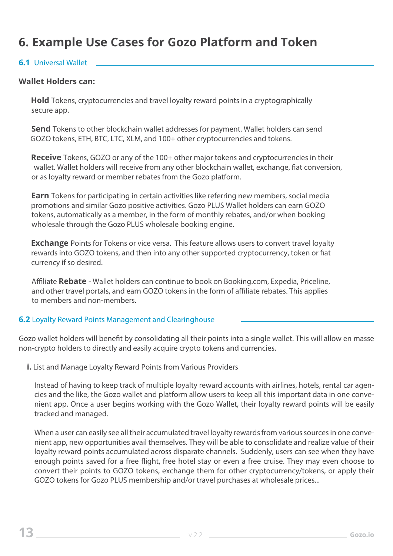## **6. Example Use Cases for Gozo Platform and Token**

### **6.1** Universal Wallet

#### **Wallet Holders can:**

 **Hold** Tokens, cryptocurrencies and travel loyalty reward points in a cryptographically secure app.

 **Send** Tokens to other blockchain wallet addresses for payment. Wallet holders can send GOZO tokens, ETH, BTC, LTC, XLM, and 100+ other cryptocurrencies and tokens.

 **Receive** Tokens, GOZO or any of the 100+ other major tokens and cryptocurrencies in their wallet. Wallet holders will receive from any other blockchain wallet, exchange, fiat conversion, or as loyalty reward or member rebates from the Gozo platform.

 **Earn** Tokens for participating in certain activities like referring new members, social media promotions and similar Gozo positive activities. Gozo PLUS Wallet holders can earn GOZO tokens, automatically as a member, in the form of monthly rebates, and/or when booking wholesale through the Gozo PLUS wholesale booking engine.

 **Exchange** Points for Tokens or vice versa. This feature allows users to convert travel loyalty rewards into GOZO tokens, and then into any other supported cryptocurrency, token or fiat currency if so desired.

Affiliate Rebate - Wallet holders can continue to book on Booking.com, Expedia, Priceline, and other travel portals, and earn GOZO tokens in the form of affiliate rebates. This applies to members and non-members.

#### **6.2** Loyalty Reward Points Management and Clearinghouse

Gozo wallet holders will benefit by consolidating all their points into a single wallet. This will allow en masse non-crypto holders to directly and easily acquire crypto tokens and currencies.

 **i.** List and Manage Loyalty Reward Points from Various Providers

Instead of having to keep track of multiple loyalty reward accounts with airlines, hotels, rental car agencies and the like, the Gozo wallet and platform allow users to keep all this important data in one convenient app. Once a user begins working with the Gozo Wallet, their loyalty reward points will be easily tracked and managed.

When a user can easily see all their accumulated travel loyalty rewards from various sources in one convenient app, new opportunities avail themselves. They will be able to consolidate and realize value of their loyalty reward points accumulated across disparate channels. Suddenly, users can see when they have enough points saved for a free flight, free hotel stay or even a free cruise. They may even choose to convert their points to GOZO tokens, exchange them for other cryptocurrency/tokens, or apply their GOZO tokens for Gozo PLUS membership and/or travel purchases at wholesale prices...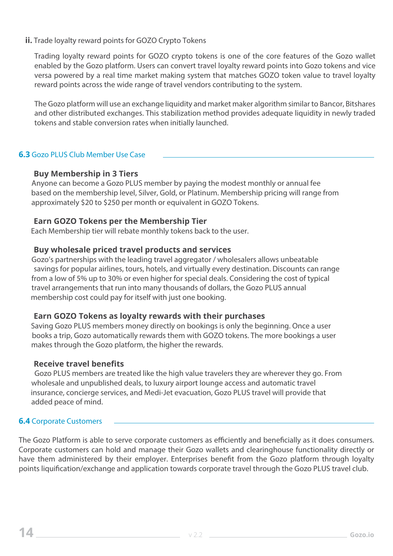#### **ii.** Trade loyalty reward points for GOZO Crypto Tokens

Trading loyalty reward points for GOZO crypto tokens is one of the core features of the Gozo wallet enabled by the Gozo platform. Users can convert travel loyalty reward points into Gozo tokens and vice versa powered by a real time market making system that matches GOZO token value to travel loyalty reward points across the wide range of travel vendors contributing to the system.

The Gozo platform will use an exchange liquidity and market maker algorithm similar to Bancor, Bitshares and other distributed exchanges. This stabilization method provides adequate liquidity in newly traded tokens and stable conversion rates when initially launched.

#### **6.3** Gozo PLUS Club Member Use Case

#### **Buy Membership in 3 Tiers**

 Anyone can become a Gozo PLUS member by paying the modest monthly or annual fee based on the membership level, Silver, Gold, or Platinum. Membership pricing will range from approximately \$20 to \$250 per month or equivalent in GOZO Tokens.

#### **Earn GOZO Tokens per the Membership Tier**

Each Membership tier will rebate monthly tokens back to the user.

#### **Buy wholesale priced travel products and services**

 Gozo's partnerships with the leading travel aggregator / wholesalers allows unbeatable savings for popular airlines, tours, hotels, and virtually every destination. Discounts can range from a low of 5% up to 30% or even higher for special deals. Considering the cost of typical travel arrangements that run into many thousands of dollars, the Gozo PLUS annual membership cost could pay for itself with just one booking.

#### **Earn GOZO Tokens as loyalty rewards with their purchases**

 Saving Gozo PLUS members money directly on bookings is only the beginning. Once a user books a trip, Gozo automatically rewards them with GOZO tokens. The more bookings a user makes through the Gozo platform, the higher the rewards.

#### **Receive travel benefits**

 Gozo PLUS members are treated like the high value travelers they are wherever they go. From wholesale and unpublished deals, to luxury airport lounge access and automatic travel insurance, concierge services, and Medi-Jet evacuation, Gozo PLUS travel will provide that added peace of mind.

#### **6.4** Corporate Customers

The Gozo Platform is able to serve corporate customers as efficiently and beneficially as it does consumers. Corporate customers can hold and manage their Gozo wallets and clearinghouse functionality directly or have them administered by their employer. Enterprises benefit from the Gozo platform through loyalty points liquification/exchange and application towards corporate travel through the Gozo PLUS travel club.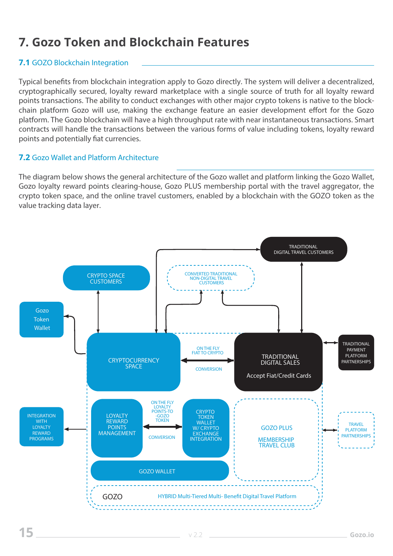## **7. Gozo Token and Blockchain Features**

#### **7.1** GOZO Blockchain Integration

Typical benefits from blockchain integration apply to Gozo directly. The system will deliver a decentralized, cryptographically secured, loyalty reward marketplace with a single source of truth for all loyalty reward points transactions. The ability to conduct exchanges with other major crypto tokens is native to the blockchain platform Gozo will use, making the exchange feature an easier development effort for the Gozo platform. The Gozo blockchain will have a high throughput rate with near instantaneous transactions. Smart contracts will handle the transactions between the various forms of value including tokens, loyalty reward points and potentially fiat currencies.

#### **7.2** Gozo Wallet and Platform Architecture

The diagram below shows the general architecture of the Gozo wallet and platform linking the Gozo Wallet, Gozo loyalty reward points clearing-house, Gozo PLUS membership portal with the travel aggregator, the crypto token space, and the online travel customers, enabled by a blockchain with the GOZO token as the value tracking data layer.

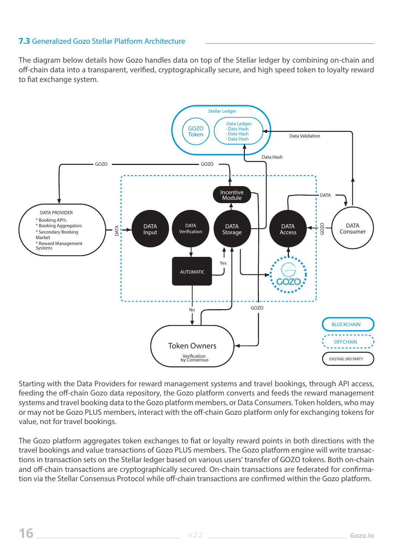#### **7.3** Generalized Gozo Stellar Platform Architecture

The diagram below details how Gozo handles data on top of the Stellar ledger by combining on-chain and off-chain data into a transparent, verified, cryptographically secure, and high speed token to loyalty reward to fiat exchange system.



Starting with the Data Providers for reward management systems and travel bookings, through API access, feeding the off-chain Gozo data repository, the Gozo platform converts and feeds the reward management systems and travel booking data to the Gozo platform members, or Data Consumers. Token holders, who may or may not be Gozo PLUS members, interact with the off-chain Gozo platform only for exchanging tokens for value, not for travel bookings.

The Gozo platform aggregates token exchanges to fiat or loyalty reward points in both directions with the travel bookings and value transactions of Gozo PLUS members. The Gozo platform engine will write transactions in transaction sets on the Stellar ledger based on various users' transfer of GOZO tokens. Both on-chain and off-chain transactions are cryptographically secured. On-chain transactions are federated for confirmation via the Stellar Consensus Protocol while off-chain transactions are confirmed within the Gozo platform.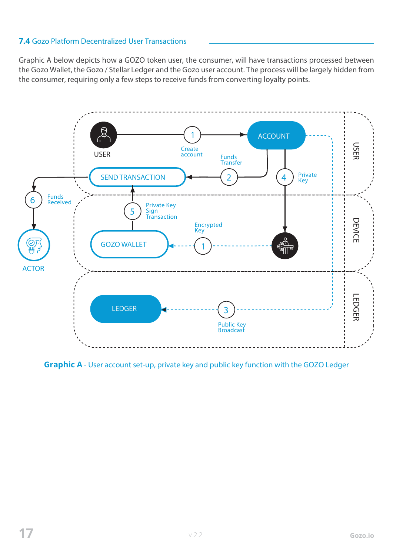### **7.4** Gozo Platform Decentralized User Transactions

Graphic A below depicts how a GOZO token user, the consumer, will have transactions processed between the Gozo Wallet, the Gozo / Stellar Ledger and the Gozo user account. The process will be largely hidden from the consumer, requiring only a few steps to receive funds from converting loyalty points.



**Graphic A** - User account set-up, private key and public key function with the GOZO Ledger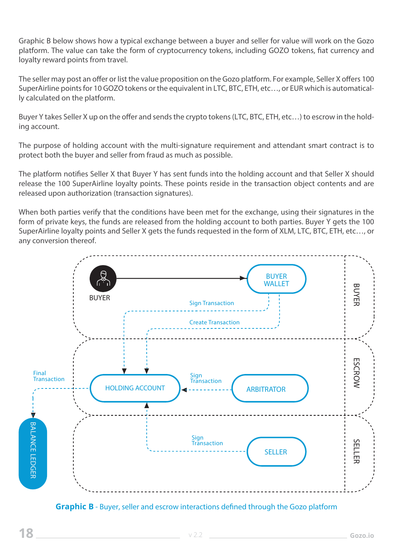Graphic B below shows how a typical exchange between a buyer and seller for value will work on the Gozo platform. The value can take the form of cryptocurrency tokens, including GOZO tokens, fiat currency and loyalty reward points from travel.

The seller may post an offer or list the value proposition on the Gozo platform. For example, Seller X offers 100 SuperAirline points for 10 GOZO tokens or the equivalent in LTC, BTC, ETH, etc…, or EUR which is automatically calculated on the platform.

Buyer Y takes Seller X up on the offer and sends the crypto tokens (LTC, BTC, ETH, etc...) to escrow in the holding account.

The purpose of holding account with the multi-signature requirement and attendant smart contract is to protect both the buyer and seller from fraud as much as possible.

The platform notifies Seller X that Buyer Y has sent funds into the holding account and that Seller X should release the 100 SuperAirline loyalty points. These points reside in the transaction object contents and are released upon authorization (transaction signatures).

When both parties verify that the conditions have been met for the exchange, using their signatures in the form of private keys, the funds are released from the holding account to both parties. Buyer Y gets the 100 SuperAirline loyalty points and Seller X gets the funds requested in the form of XLM, LTC, BTC, ETH, etc…, or any conversion thereof.



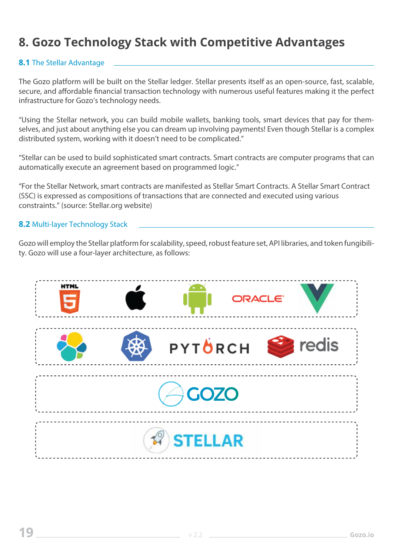## **8. Gozo Technology Stack with Competitive Advantages**

#### **8.1** The Stellar Advantage

The Gozo platform will be built on the Stellar ledger. Stellar presents itself as an open-source, fast, scalable, secure, and affordable financial transaction technology with numerous useful features making it the perfect infrastructure for Gozo's technology needs.

"Using the Stellar network, you can build mobile wallets, banking tools, smart devices that pay for themselves, and just about anything else you can dream up involving payments! Even though Stellar is a complex distributed system, working with it doesn't need to be complicated."

"Stellar can be used to build sophisticated smart contracts. Smart contracts are computer programs that can automatically execute an agreement based on programmed logic."

"For the Stellar Network, smart contracts are manifested as Stellar Smart Contracts. A Stellar Smart Contract (SSC) is expressed as compositions of transactions that are connected and executed using various constraints." (source: Stellar.org website)

#### **8.2** Multi-layer Technology Stack

Gozo will employ the Stellar platform for scalability, speed, robust feature set, API libraries, and token fungibility. Gozo will use a four-layer architecture, as follows:

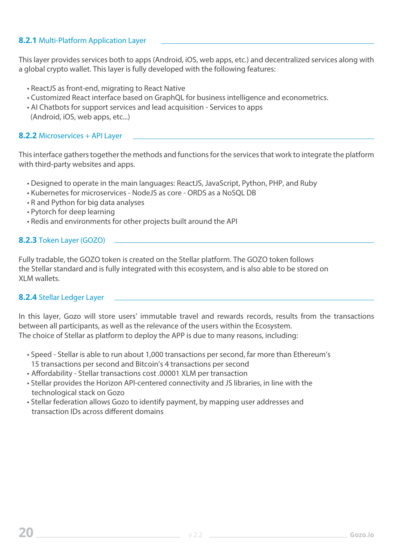#### **8.2.1** Multi-Platform Application Layer

This layer provides services both to apps (Android, iOS, web apps, etc.) and decentralized services along with a global crypto wallet. This layer is fully developed with the following features:

- ReactJS as front-end, migrating to React Native
- Customized React interface based on GraphQL for business intelligence and econometrics.
- AI Chatbots for support services and lead acquisition Services to apps (Android, iOS, web apps, etc...)

#### **8.2.2** Microservices + API Layer

This interface gathers together the methods and functions for the services that work to integrate the platform with third-party websites and apps.

- Designed to operate in the main languages: ReactJS, JavaScript, Python, PHP, and Ruby
- Kubernetes for microservices NodeJS as core ORDS as a NoSQL DB
- R and Python for big data analyses
- Pytorch for deep learning
- Redis and environments for other projects built around the API

#### **8.2.3** Token Layer (GOZO)

Fully tradable, the GOZO token is created on the Stellar platform. The GOZO token follows the Stellar standard and is fully integrated with this ecosystem, and is also able to be stored on XLM wallets.

#### **8.2.4** Stellar Ledger Layer

In this layer, Gozo will store users' immutable travel and rewards records, results from the transactions between all participants, as well as the relevance of the users within the Ecosystem. The choice of Stellar as platform to deploy the APP is due to many reasons, including:

- Speed Stellar is able to run about 1,000 transactions per second, far more than Ethereum's 15 transactions per second and Bitcoin's 4 transactions per second
- Affordability Stellar transactions cost .00001 XLM per transaction
- Stellar provides the Horizon API-centered connectivity and JS libraries, in line with the technological stack on Gozo
- Stellar federation allows Gozo to identify payment, by mapping user addresses and transaction IDs across different domains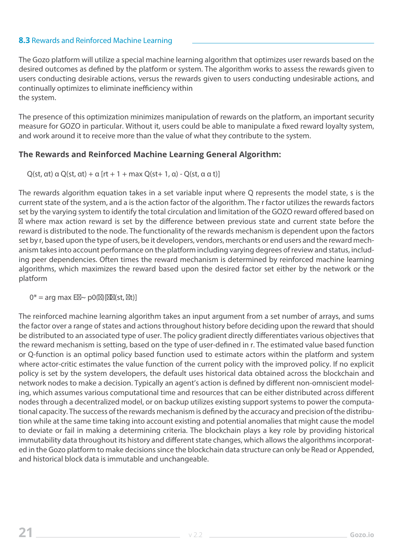#### **8.3** Rewards and Reinforced Machine Learning

The Gozo platform will utilize a special machine learning algorithm that optimizes user rewards based on the desired outcomes as defined by the platform or system. The algorithm works to assess the rewards given to users conducting desirable actions, versus the rewards given to users conducting undesirable actions, and continually optimizes to eliminate inefficiency within the system.

The presence of this optimization minimizes manipulation of rewards on the platform, an important security measure for GOZO in particular. Without it, users could be able to manipulate a fixed reward loyalty system, and work around it to receive more than the value of what they contribute to the system.

#### **The Rewards and Reinforced Machine Learning General Algorithm:**

Q(st,  $\alpha t$ )  $\alpha$  Q(st,  $\alpha t$ ) +  $\alpha$  [rt + 1 + max Q(st+ 1,  $\alpha$ ) - Q(st,  $\alpha \alpha t$ )]

The rewards algorithm equation takes in a set variable input where Q represents the model state, s is the current state of the system, and a is the action factor of the algorithm. The r factor utilizes the rewards factors set by the varying system to identify the total circulation and limitation of the GOZO reward offered based on

where max action reward is set by the difference between previous state and current state before the reward is distributed to the node. The functionality of the rewards mechanism is dependent upon the factors set by r, based upon the type of users, be it developers, vendors, merchants or end users and the reward mechanism takes into account performance on the platform including varying degrees of review and status, including peer dependencies. Often times the reward mechanism is determined by reinforced machine learning algorithms, which maximizes the reward based upon the desired factor set either by the network or the platform

 $0^*$  = arg max E ~ p0( )[ (st, t)]

The reinforced machine learning algorithm takes an input argument from a set number of arrays, and sums the factor over a range of states and actions throughout history before deciding upon the reward that should be distributed to an associated type of user. The policy gradient directly differentiates various objectives that the reward mechanism is setting, based on the type of user-defined in r. The estimated value based function or Q-function is an optimal policy based function used to estimate actors within the platform and system where actor-critic estimates the value function of the current policy with the improved policy. If no explicit policy is set by the system developers, the default uses historical data obtained across the blockchain and network nodes to make a decision. Typically an agent's action is defined by different non-omniscient modeling, which assumes various computational time and resources that can be either distributed across different nodes through a decentralized model, or on backup utilizes existing support systems to power the computational capacity. The success of the rewards mechanism is defined by the accuracy and precision of the distribution while at the same time taking into account existing and potential anomalies that might cause the model to deviate or fail in making a determining criteria. The blockchain plays a key role by providing historical immutability data throughout its history and different state changes, which allows the algorithms incorporated in the Gozo platform to make decisions since the blockchain data structure can only be Read or Appended, and historical block data is immutable and unchangeable.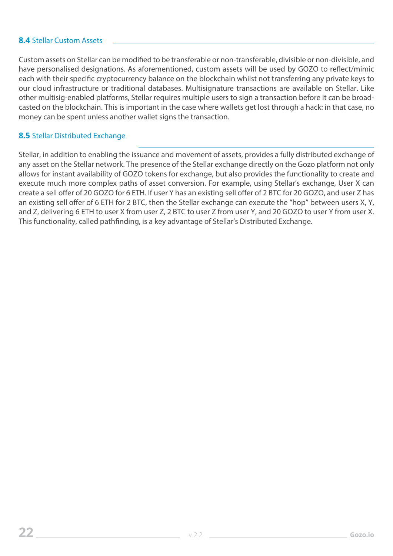#### **8.4** Stellar Custom Assets

Custom assets on Stellar can be modified to be transferable or non-transferable, divisible or non-divisible, and have personalised designations. As aforementioned, custom assets will be used by GOZO to reflect/mimic each with their specific cryptocurrency balance on the blockchain whilst not transferring any private keys to our cloud infrastructure or traditional databases. Multisignature transactions are available on Stellar. Like other multisig-enabled platforms, Stellar requires multiple users to sign a transaction before it can be broadcasted on the blockchain. This is important in the case where wallets get lost through a hack: in that case, no money can be spent unless another wallet signs the transaction.

#### **8.5** Stellar Distributed Exchange

Stellar, in addition to enabling the issuance and movement of assets, provides a fully distributed exchange of any asset on the Stellar network. The presence of the Stellar exchange directly on the Gozo platform not only allows for instant availability of GOZO tokens for exchange, but also provides the functionality to create and execute much more complex paths of asset conversion. For example, using Stellar's exchange, User X can create a sell offer of 20 GOZO for 6 ETH. If user Y has an existing sell offer of 2 BTC for 20 GOZO, and user Z has an existing sell offer of 6 ETH for 2 BTC, then the Stellar exchange can execute the "hop" between users X, Y, and Z, delivering 6 ETH to user X from user Z, 2 BTC to user Z from user Y, and 20 GOZO to user Y from user X. This functionality, called pathfinding, is a key advantage of Stellar's Distributed Exchange.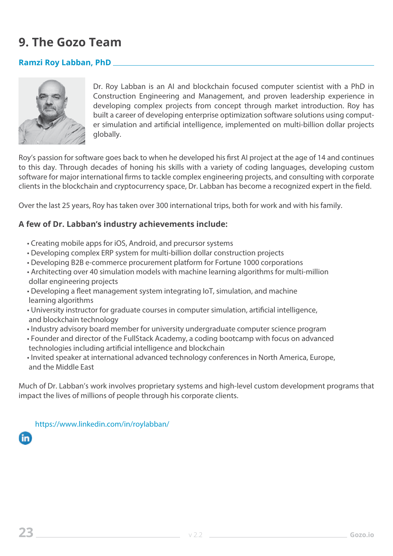## **9. The Gozo Team**

## **Ramzi Roy Labban, PhD**



Dr. Roy Labban is an AI and blockchain focused computer scientist with a PhD in Construction Engineering and Management, and proven leadership experience in developing complex projects from concept through market introduction. Roy has built a career of developing enterprise optimization software solutions using computer simulation and artificial intelligence, implemented on multi-billion dollar projects globally.

Roy's passion for software goes back to when he developed his first AI project at the age of 14 and continues to this day. Through decades of honing his skills with a variety of coding languages, developing custom software for major international firms to tackle complex engineering projects, and consulting with corporate clients in the blockchain and cryptocurrency space, Dr. Labban has become a recognized expert in the field.

Over the last 25 years, Roy has taken over 300 international trips, both for work and with his family.

### **A few of Dr. Labban's industry achievements include:**

- Creating mobile apps for iOS, Android, and precursor systems
- Developing complex ERP system for multi-billion dollar construction projects
- Developing B2B e-commerce procurement platform for Fortune 1000 corporations
- Architecting over 40 simulation models with machine learning algorithms for multi-million dollar engineering projects
- Developing a fleet management system integrating IoT, simulation, and machine learning algorithms
- University instructor for graduate courses in computer simulation, artificial intelligence, and blockchain technology
- Industry advisory board member for university undergraduate computer science program
- Founder and director of the FullStack Academy, a coding bootcamp with focus on advanced technologies including artificial intelligence and blockchain
- Invited speaker at international advanced technology conferences in North America, Europe, and the Middle East

Much of Dr. Labban's work involves proprietary systems and high-level custom development programs that impact the lives of millions of people through his corporate clients.

#### https://www.linkedin.com/in/roylabban/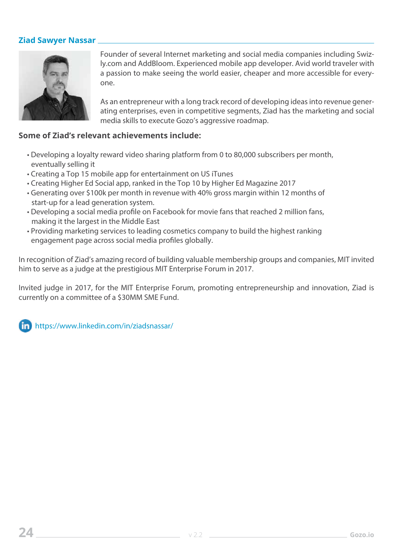#### **Ziad Sawyer Nassar**



Founder of several Internet marketing and social media companies including Swizly.com and AddBloom. Experienced mobile app developer. Avid world traveler with a passion to make seeing the world easier, cheaper and more accessible for everyone.

As an entrepreneur with a long track record of developing ideas into revenue generating enterprises, even in competitive segments, Ziad has the marketing and social media skills to execute Gozo's aggressive roadmap.

#### **Some of Ziad's relevant achievements include:**

- Developing a loyalty reward video sharing platform from 0 to 80,000 subscribers per month, eventually selling it
- Creating a Top 15 mobile app for entertainment on US iTunes
- Creating Higher Ed Social app, ranked in the Top 10 by Higher Ed Magazine 2017
- Generating over \$100k per month in revenue with 40% gross margin within 12 months of start-up for a lead generation system.
- Developing a social media profile on Facebook for movie fans that reached 2 million fans, making it the largest in the Middle East
- Providing marketing services to leading cosmetics company to build the highest ranking engagement page across social media profiles globally.

In recognition of Ziad's amazing record of building valuable membership groups and companies, MIT invited him to serve as a judge at the prestigious MIT Enterprise Forum in 2017.

Invited judge in 2017, for the MIT Enterprise Forum, promoting entrepreneurship and innovation, Ziad is currently on a committee of a \$30MM SME Fund.



https://www.linkedin.com/in/ziadsnassar/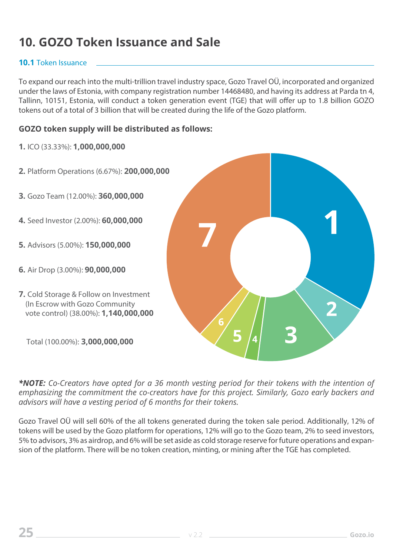## **10. GOZO Token Issuance and Sale**

### **10.1** Token Issuance

To expand our reach into the multi-trillion travel industry space, Gozo Travel OÜ, incorporated and organized under the laws of Estonia, with company registration number 14468480, and having its address at Parda tn 4, Tallinn, 10151, Estonia, will conduct a token generation event (TGE) that will offer up to 1.8 billion GOZO tokens out of a total of 3 billion that will be created during the life of the Gozo platform.

#### **GOZO token supply will be distributed as follows:**

- **1.** ICO (33.33%): **1,000,000,000**
- **2.** Platform Operations (6.67%): **200,000,000**
- **3.** Gozo Team (12.00%): **360,000,000**
- **4.** Seed Investor (2.00%): **60,000,000**
- **5.** Advisors (5.00%): **150,000,000**
- **6.** Air Drop (3.00%): **90,000,000**
- **7.** Cold Storage & Follow on Investment (In Escrow with Gozo Community vote control) (38.00%): **1,140,000,000**

Total (100.00%): **3,000,000,000**



*\*NOTE: Co-Creators have opted for a 36 month vesting period for their tokens with the intention of emphasizing the commitment the co-creators have for this project. Similarly, Gozo early backers and advisors will have a vesting period of 6 months for their tokens.*

Gozo Travel OÜ will sell 60% of the all tokens generated during the token sale period. Additionally, 12% of tokens will be used by the Gozo platform for operations, 12% will go to the Gozo team, 2% to seed investors, 5% to advisors, 3% as airdrop, and 6% will be set aside as cold storage reserve for future operations and expansion of the platform. There will be no token creation, minting, or mining after the TGE has completed.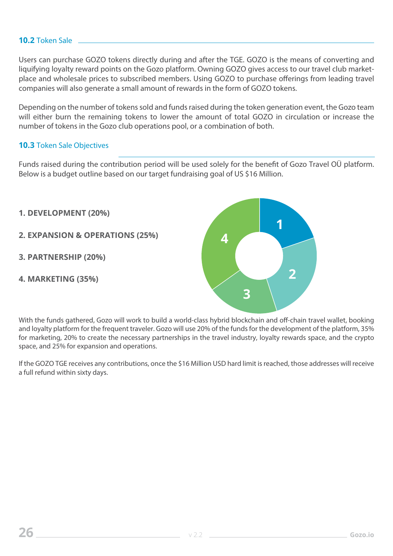#### **10.2** Token Sale

Users can purchase GOZO tokens directly during and after the TGE. GOZO is the means of converting and liquifying loyalty reward points on the Gozo platform. Owning GOZO gives access to our travel club marketplace and wholesale prices to subscribed members. Using GOZO to purchase offerings from leading travel companies will also generate a small amount of rewards in the form of GOZO tokens.

Depending on the number of tokens sold and funds raised during the token generation event, the Gozo team will either burn the remaining tokens to lower the amount of total GOZO in circulation or increase the number of tokens in the Gozo club operations pool, or a combination of both.

#### **10.3** Token Sale Objectives

Funds raised during the contribution period will be used solely for the benefit of Gozo Travel OÜ platform. Below is a budget outline based on our target fundraising goal of US \$16 Million.

**1. DEVELOPMENT (20%) 2. EXPANSION & OPERATIONS (25%) 3. PARTNERSHIP (20%) 4. MARKETING (35%) 2 3 4 1**

With the funds gathered, Gozo will work to build a world-class hybrid blockchain and off-chain travel wallet, booking and loyalty platform for the frequent traveler. Gozo will use 20% of the funds for the development of the platform, 35% for marketing, 20% to create the necessary partnerships in the travel industry, loyalty rewards space, and the crypto space, and 25% for expansion and operations.

If the GOZO TGE receives any contributions, once the \$16 Million USD hard limit is reached, those addresses will receive a full refund within sixty days.